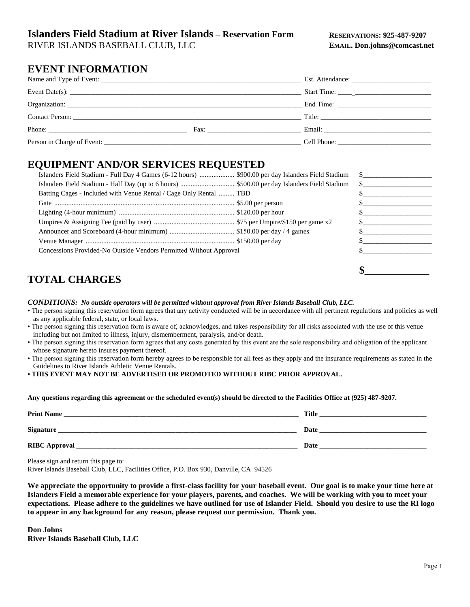### **Islanders Field Stadium at River Islands – Reservation Form**

RIVER ISLANDS BASEBALL CLUB, LLC

## **EVENT INFORMATION**

| Organization: New York 2014 19:30 and 2014 19:30 and 2014 19:30 and 2014 19:30 and 2014 19:30 and 20 |                                                                                                                                                                                                                                |        |
|------------------------------------------------------------------------------------------------------|--------------------------------------------------------------------------------------------------------------------------------------------------------------------------------------------------------------------------------|--------|
|                                                                                                      |                                                                                                                                                                                                                                | Title: |
|                                                                                                      | Fax: The contract of the contract of the contract of the contract of the contract of the contract of the contract of the contract of the contract of the contract of the contract of the contract of the contract of the contr |        |
|                                                                                                      |                                                                                                                                                                                                                                |        |

### **EQUIPMENT AND/OR SERVICES REQUESTED**

# **TOTAL CHARGES**

#### *CONDITIONS: No outside operators will be permitted without approval from River Islands Baseball Club, LLC.*

- The person signing this reservation form agrees that any activity conducted will be in accordance with all pertinent regulations and policies as well as any applicable federal, state, or local laws.
- The person signing this reservation form is aware of, acknowledges, and takes responsibility for all risks associated with the use of this venue including but not limited to illness, injury, dismemberment, paralysis, and/or death.
- The person signing this reservation form agrees that any costs generated by this event are the sole responsibility and obligation of the applicant whose signature hereto insures payment thereof.
- The person signing this reservation form hereby agrees to be responsible for all fees as they apply and the insurance requirements as stated in the Guidelines to River Islands Athletic Venue Rentals.
- **THIS EVENT MAY NOT BE ADVERTISED OR PROMOTED WITHOUT RIBC PRIOR APPROVAL.**

#### **Any questions regarding this agreement or the scheduled event(s) should be directed to the Facilities Office at (925) 487-9207.**

| <b>Print Name</b>    | <b>Title</b> |
|----------------------|--------------|
| Signature            | Date         |
| <b>RIBC</b> Approval | Date         |

Please sign and return this page to:

River Islands Baseball Club, LLC, Facilities Office, P.O. Box 930, Danville, CA 94526

**We appreciate the opportunity to provide a first-class facility for your baseball event. Our goal is to make your time here at Islanders Field a memorable experience for your players, parents, and coaches. We will be working with you to meet your expectations. Please adhere to the guidelines we have outlined for use of Islander Field. Should you desire to use the RI logo to appear in any background for any reason, please request our permission. Thank you.** 

**Don Johns River Islands Baseball Club, LLC**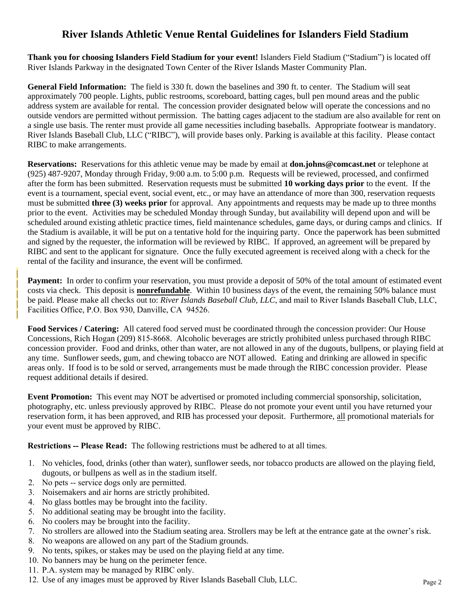## **River Islands Athletic Venue Rental Guidelines for Islanders Field Stadium**

**Thank you for choosing Islanders Field Stadium for your event!** Islanders Field Stadium ("Stadium") is located off River Islands Parkway in the designated Town Center of the River Islands Master Community Plan.

**General Field Information:** The field is 330 ft. down the baselines and 390 ft. to center. The Stadium will seat approximately 700 people. Lights, public restrooms, scoreboard, batting cages, bull pen mound areas and the public address system are available for rental. The concession provider designated below will operate the concessions and no outside vendors are permitted without permission. The batting cages adjacent to the stadium are also available for rent on a single use basis. The renter must provide all game necessities including baseballs. Appropriate footwear is mandatory. River Islands Baseball Club, LLC ("RIBC"), will provide bases only. Parking is available at this facility. Please contact RIBC to make arrangements.

**Reservations:** Reservations for this athletic venue may be made by email at **don.johns@comcast.net** or telephone at (925) 487-9207, Monday through Friday, 9:00 a.m. to 5:00 p.m. Requests will be reviewed, processed, and confirmed after the form has been submitted. Reservation requests must be submitted **10 working days prior** to the event. If the event is a tournament, special event, social event, etc., or may have an attendance of more than 300, reservation requests must be submitted **three (3) weeks prior** for approval. Any appointments and requests may be made up to three months prior to the event. Activities may be scheduled Monday through Sunday, but availability will depend upon and will be scheduled around existing athletic practice times, field maintenance schedules, game days, or during camps and clinics. If the Stadium is available, it will be put on a tentative hold for the inquiring party. Once the paperwork has been submitted and signed by the requester, the information will be reviewed by RIBC. If approved, an agreement will be prepared by RIBC and sent to the applicant for signature. Once the fully executed agreement is received along with a check for the rental of the facility and insurance, the event will be confirmed.

**Payment:** In order to confirm your reservation, you must provide a deposit of 50% of the total amount of estimated event costs via check. This deposit is **nonrefundable**. Within 10 business days of the event, the remaining 50% balance must be paid. Please make all checks out to: *River Islands Baseball Club, LLC*, and mail to River Islands Baseball Club, LLC, Facilities Office, P.O. Box 930, Danville, CA 94526.

**Food Services / Catering:** All catered food served must be coordinated through the concession provider: Our House Concessions, Rich Hogan (209) 815-8668. Alcoholic beverages are strictly prohibited unless purchased through RIBC concession provider. Food and drinks, other than water, are not allowed in any of the dugouts, bullpens, or playing field at any time. Sunflower seeds, gum, and chewing tobacco are NOT allowed. Eating and drinking are allowed in specific areas only. If food is to be sold or served, arrangements must be made through the RIBC concession provider. Please request additional details if desired.

**Event Promotion:** This event may NOT be advertised or promoted including commercial sponsorship, solicitation, photography, etc. unless previously approved by RIBC. Please do not promote your event until you have returned your reservation form, it has been approved, and RIB has processed your deposit. Furthermore, all promotional materials for your event must be approved by RIBC.

**Restrictions -- Please Read:** The following restrictions must be adhered to at all times.

- 1. No vehicles, food, drinks (other than water), sunflower seeds, nor tobacco products are allowed on the playing field, dugouts, or bullpens as well as in the stadium itself.
- 2. No pets -- service dogs only are permitted.

| | | | |

- 3. Noisemakers and air horns are strictly prohibited.
- 4. No glass bottles may be brought into the facility.
- 5. No additional seating may be brought into the facility.
- 6. No coolers may be brought into the facility.
- 7. No strollers are allowed into the Stadium seating area. Strollers may be left at the entrance gate at the owner's risk.
- 8. No weapons are allowed on any part of the Stadium grounds.
- 9. No tents, spikes, or stakes may be used on the playing field at any time.
- 10. No banners may be hung on the perimeter fence.
- 11. P.A. system may be managed by RIBC only.
- 12. Use of any images must be approved by River Islands Baseball Club, LLC.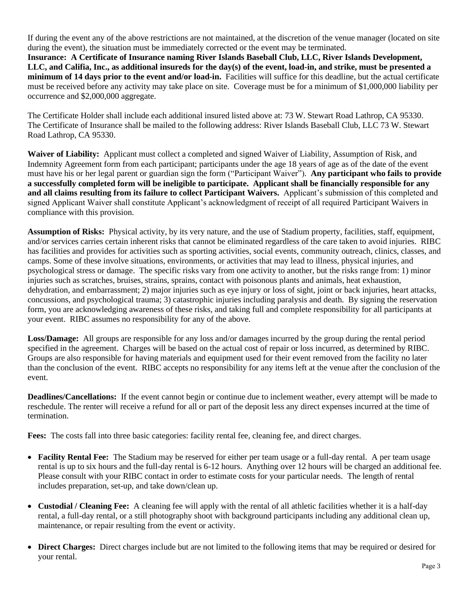If during the event any of the above restrictions are not maintained, at the discretion of the venue manager (located on site during the event), the situation must be immediately corrected or the event may be terminated. **Insurance: A Certificate of Insurance naming River Islands Baseball Club, LLC, River Islands Development, LLC, and Califia, Inc., as additional insureds for the day(s) of the event, load-in, and strike, must be presented a minimum of 14 days prior to the event and/or load-in.** Facilities will suffice for this deadline, but the actual certificate must be received before any activity may take place on site. Coverage must be for a minimum of \$1,000,000 liability per occurrence and \$2,000,000 aggregate.

The Certificate Holder shall include each additional insured listed above at: 73 W. Stewart Road Lathrop, CA 95330. The Certificate of Insurance shall be mailed to the following address: River Islands Baseball Club, LLC 73 W. Stewart Road Lathrop, CA 95330.

**Waiver of Liability:** Applicant must collect a completed and signed Waiver of Liability, Assumption of Risk, and Indemnity Agreement form from each participant; participants under the age 18 years of age as of the date of the event must have his or her legal parent or guardian sign the form ("Participant Waiver"). **Any participant who fails to provide a successfully completed form will be ineligible to participate. Applicant shall be financially responsible for any and all claims resulting from its failure to collect Participant Waivers.** Applicant's submission of this completed and signed Applicant Waiver shall constitute Applicant's acknowledgment of receipt of all required Participant Waivers in compliance with this provision.

**Assumption of Risks:** Physical activity, by its very nature, and the use of Stadium property, facilities, staff, equipment, and/or services carries certain inherent risks that cannot be eliminated regardless of the care taken to avoid injuries. RIBC has facilities and provides for activities such as sporting activities, social events, community outreach, clinics, classes, and camps. Some of these involve situations, environments, or activities that may lead to illness, physical injuries, and psychological stress or damage. The specific risks vary from one activity to another, but the risks range from: 1) minor injuries such as scratches, bruises, strains, sprains, contact with poisonous plants and animals, heat exhaustion, dehydration, and embarrassment; 2) major injuries such as eye injury or loss of sight, joint or back injuries, heart attacks, concussions, and psychological trauma; 3) catastrophic injuries including paralysis and death. By signing the reservation form, you are acknowledging awareness of these risks, and taking full and complete responsibility for all participants at your event. RIBC assumes no responsibility for any of the above.

**Loss/Damage:** All groups are responsible for any loss and/or damages incurred by the group during the rental period specified in the agreement. Charges will be based on the actual cost of repair or loss incurred, as determined by RIBC. Groups are also responsible for having materials and equipment used for their event removed from the facility no later than the conclusion of the event. RIBC accepts no responsibility for any items left at the venue after the conclusion of the event.

**Deadlines/Cancellations:** If the event cannot begin or continue due to inclement weather, every attempt will be made to reschedule. The renter will receive a refund for all or part of the deposit less any direct expenses incurred at the time of termination.

**Fees:** The costs fall into three basic categories: facility rental fee, cleaning fee, and direct charges.

- **Facility Rental Fee:** The Stadium may be reserved for either per team usage or a full-day rental. A per team usage rental is up to six hours and the full-day rental is 6-12 hours. Anything over 12 hours will be charged an additional fee. Please consult with your RIBC contact in order to estimate costs for your particular needs. The length of rental includes preparation, set-up, and take down/clean up.
- **Custodial / Cleaning Fee:** A cleaning fee will apply with the rental of all athletic facilities whether it is a half-day rental, a full-day rental, or a still photography shoot with background participants including any additional clean up, maintenance, or repair resulting from the event or activity.
- **Direct Charges:** Direct charges include but are not limited to the following items that may be required or desired for your rental.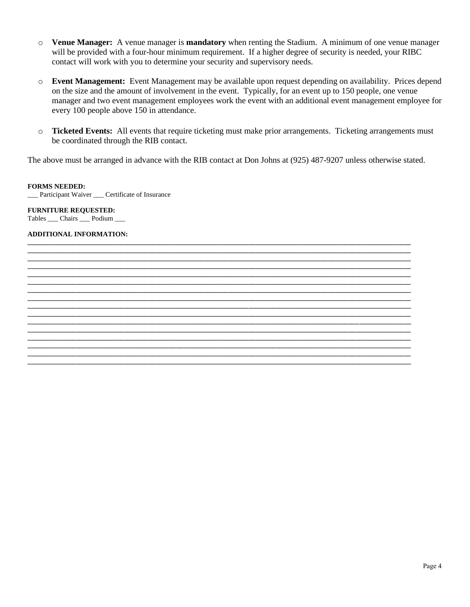- o **Venue Manager:** A venue manager is **mandatory** when renting the Stadium. A minimum of one venue manager will be provided with a four-hour minimum requirement. If a higher degree of security is needed, your RIBC contact will work with you to determine your security and supervisory needs.
- o **Event Management:** Event Management may be available upon request depending on availability. Prices depend on the size and the amount of involvement in the event. Typically, for an event up to 150 people, one venue manager and two event management employees work the event with an additional event management employee for every 100 people above 150 in attendance.
- o **Ticketed Events:** All events that require ticketing must make prior arrangements. Ticketing arrangements must be coordinated through the RIB contact.

The above must be arranged in advance with the RIB contact at Don Johns at (925) 487-9207 unless otherwise stated.

**\_\_\_\_\_\_\_\_\_\_\_\_\_\_\_\_\_\_\_\_\_\_\_\_\_\_\_\_\_\_\_\_\_\_\_\_\_\_\_\_\_\_\_\_\_\_\_\_\_\_\_\_\_\_\_\_\_\_\_\_\_\_\_\_\_\_\_\_\_\_\_\_\_\_\_\_\_\_\_\_\_\_\_\_\_\_\_\_\_\_\_\_\_\_\_\_\_\_\_\_\_\_\_\_\_\_\_\_\_\_\_ \_\_\_\_\_\_\_\_\_\_\_\_\_\_\_\_\_\_\_\_\_\_\_\_\_\_\_\_\_\_\_\_\_\_\_\_\_\_\_\_\_\_\_\_\_\_\_\_\_\_\_\_\_\_\_\_\_\_\_\_\_\_\_\_\_\_\_\_\_\_\_\_\_\_\_\_\_\_\_\_\_\_\_\_\_\_\_\_\_\_\_\_\_\_\_\_\_\_\_\_\_\_\_\_\_\_\_\_\_\_\_ \_\_\_\_\_\_\_\_\_\_\_\_\_\_\_\_\_\_\_\_\_\_\_\_\_\_\_\_\_\_\_\_\_\_\_\_\_\_\_\_\_\_\_\_\_\_\_\_\_\_\_\_\_\_\_\_\_\_\_\_\_\_\_\_\_\_\_\_\_\_\_\_\_\_\_\_\_\_\_\_\_\_\_\_\_\_\_\_\_\_\_\_\_\_\_\_\_\_\_\_\_\_\_\_\_\_\_\_\_\_\_ \_\_\_\_\_\_\_\_\_\_\_\_\_\_\_\_\_\_\_\_\_\_\_\_\_\_\_\_\_\_\_\_\_\_\_\_\_\_\_\_\_\_\_\_\_\_\_\_\_\_\_\_\_\_\_\_\_\_\_\_\_\_\_\_\_\_\_\_\_\_\_\_\_\_\_\_\_\_\_\_\_\_\_\_\_\_\_\_\_\_\_\_\_\_\_\_\_\_\_\_\_\_\_\_\_\_\_\_\_\_\_ \_\_\_\_\_\_\_\_\_\_\_\_\_\_\_\_\_\_\_\_\_\_\_\_\_\_\_\_\_\_\_\_\_\_\_\_\_\_\_\_\_\_\_\_\_\_\_\_\_\_\_\_\_\_\_\_\_\_\_\_\_\_\_\_\_\_\_\_\_\_\_\_\_\_\_\_\_\_\_\_\_\_\_\_\_\_\_\_\_\_\_\_\_\_\_\_\_\_\_\_\_\_\_\_\_\_\_\_\_\_\_ \_\_\_\_\_\_\_\_\_\_\_\_\_\_\_\_\_\_\_\_\_\_\_\_\_\_\_\_\_\_\_\_\_\_\_\_\_\_\_\_\_\_\_\_\_\_\_\_\_\_\_\_\_\_\_\_\_\_\_\_\_\_\_\_\_\_\_\_\_\_\_\_\_\_\_\_\_\_\_\_\_\_\_\_\_\_\_\_\_\_\_\_\_\_\_\_\_\_\_\_\_\_\_\_\_\_\_\_\_\_\_ \_\_\_\_\_\_\_\_\_\_\_\_\_\_\_\_\_\_\_\_\_\_\_\_\_\_\_\_\_\_\_\_\_\_\_\_\_\_\_\_\_\_\_\_\_\_\_\_\_\_\_\_\_\_\_\_\_\_\_\_\_\_\_\_\_\_\_\_\_\_\_\_\_\_\_\_\_\_\_\_\_\_\_\_\_\_\_\_\_\_\_\_\_\_\_\_\_\_\_\_\_\_\_\_\_\_\_\_\_\_\_ \_\_\_\_\_\_\_\_\_\_\_\_\_\_\_\_\_\_\_\_\_\_\_\_\_\_\_\_\_\_\_\_\_\_\_\_\_\_\_\_\_\_\_\_\_\_\_\_\_\_\_\_\_\_\_\_\_\_\_\_\_\_\_\_\_\_\_\_\_\_\_\_\_\_\_\_\_\_\_\_\_\_\_\_\_\_\_\_\_\_\_\_\_\_\_\_\_\_\_\_\_\_\_\_\_\_\_\_\_\_\_ \_\_\_\_\_\_\_\_\_\_\_\_\_\_\_\_\_\_\_\_\_\_\_\_\_\_\_\_\_\_\_\_\_\_\_\_\_\_\_\_\_\_\_\_\_\_\_\_\_\_\_\_\_\_\_\_\_\_\_\_\_\_\_\_\_\_\_\_\_\_\_\_\_\_\_\_\_\_\_\_\_\_\_\_\_\_\_\_\_\_\_\_\_\_\_\_\_\_\_\_\_\_\_\_\_\_\_\_\_\_\_ \_\_\_\_\_\_\_\_\_\_\_\_\_\_\_\_\_\_\_\_\_\_\_\_\_\_\_\_\_\_\_\_\_\_\_\_\_\_\_\_\_\_\_\_\_\_\_\_\_\_\_\_\_\_\_\_\_\_\_\_\_\_\_\_\_\_\_\_\_\_\_\_\_\_\_\_\_\_\_\_\_\_\_\_\_\_\_\_\_\_\_\_\_\_\_\_\_\_\_\_\_\_\_\_\_\_\_\_\_\_\_ \_\_\_\_\_\_\_\_\_\_\_\_\_\_\_\_\_\_\_\_\_\_\_\_\_\_\_\_\_\_\_\_\_\_\_\_\_\_\_\_\_\_\_\_\_\_\_\_\_\_\_\_\_\_\_\_\_\_\_\_\_\_\_\_\_\_\_\_\_\_\_\_\_\_\_\_\_\_\_\_\_\_\_\_\_\_\_\_\_\_\_\_\_\_\_\_\_\_\_\_\_\_\_\_\_\_\_\_\_\_\_ \_\_\_\_\_\_\_\_\_\_\_\_\_\_\_\_\_\_\_\_\_\_\_\_\_\_\_\_\_\_\_\_\_\_\_\_\_\_\_\_\_\_\_\_\_\_\_\_\_\_\_\_\_\_\_\_\_\_\_\_\_\_\_\_\_\_\_\_\_\_\_\_\_\_\_\_\_\_\_\_\_\_\_\_\_\_\_\_\_\_\_\_\_\_\_\_\_\_\_\_\_\_\_\_\_\_\_\_\_\_\_ \_\_\_\_\_\_\_\_\_\_\_\_\_\_\_\_\_\_\_\_\_\_\_\_\_\_\_\_\_\_\_\_\_\_\_\_\_\_\_\_\_\_\_\_\_\_\_\_\_\_\_\_\_\_\_\_\_\_\_\_\_\_\_\_\_\_\_\_\_\_\_\_\_\_\_\_\_\_\_\_\_\_\_\_\_\_\_\_\_\_\_\_\_\_\_\_\_\_\_\_\_\_\_\_\_\_\_\_\_\_\_ \_\_\_\_\_\_\_\_\_\_\_\_\_\_\_\_\_\_\_\_\_\_\_\_\_\_\_\_\_\_\_\_\_\_\_\_\_\_\_\_\_\_\_\_\_\_\_\_\_\_\_\_\_\_\_\_\_\_\_\_\_\_\_\_\_\_\_\_\_\_\_\_\_\_\_\_\_\_\_\_\_\_\_\_\_\_\_\_\_\_\_\_\_\_\_\_\_\_\_\_\_\_\_\_\_\_\_\_\_\_\_ \_\_\_\_\_\_\_\_\_\_\_\_\_\_\_\_\_\_\_\_\_\_\_\_\_\_\_\_\_\_\_\_\_\_\_\_\_\_\_\_\_\_\_\_\_\_\_\_\_\_\_\_\_\_\_\_\_\_\_\_\_\_\_\_\_\_\_\_\_\_\_\_\_\_\_\_\_\_\_\_\_\_\_\_\_\_\_\_\_\_\_\_\_\_\_\_\_\_\_\_\_\_\_\_\_\_\_\_\_\_\_ \_\_\_\_\_\_\_\_\_\_\_\_\_\_\_\_\_\_\_\_\_\_\_\_\_\_\_\_\_\_\_\_\_\_\_\_\_\_\_\_\_\_\_\_\_\_\_\_\_\_\_\_\_\_\_\_\_\_\_\_\_\_\_\_\_\_\_\_\_\_\_\_\_\_\_\_\_\_\_\_\_\_\_\_\_\_\_\_\_\_\_\_\_\_\_\_\_\_\_\_\_\_\_\_\_\_\_\_\_\_\_**

#### **FORMS NEEDED:**

\_\_\_ Participant Waiver \_\_\_ Certificate of Insurance

### **FURNITURE REQUESTED:**

Tables \_\_\_ Chairs \_\_\_ Podium \_\_\_

#### **ADDITIONAL INFORMATION:**